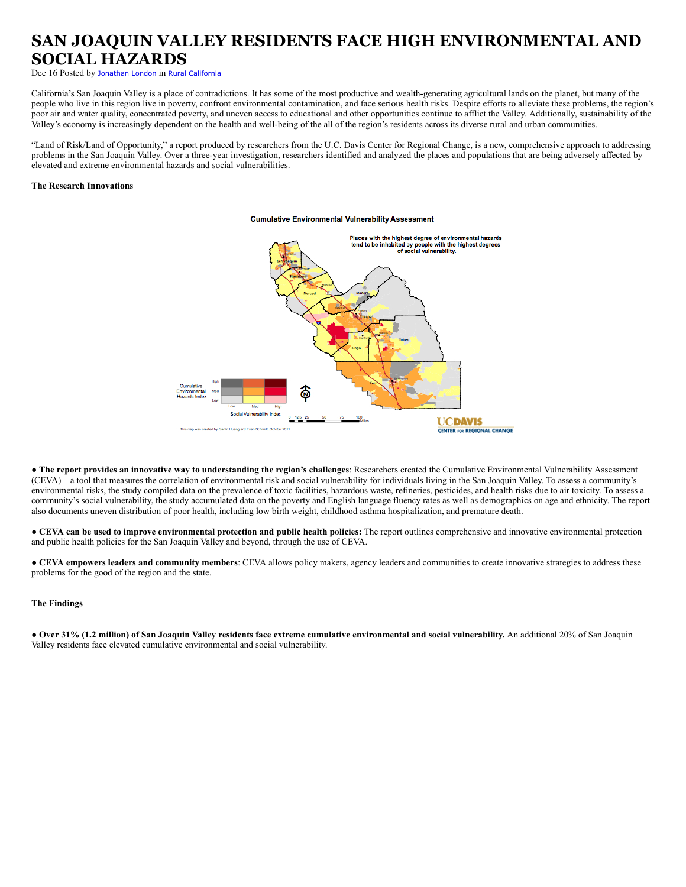# **SAN JOAQUIN VALLEY RESIDENTS FACE HIGH ENVIRONMENTAL AND SOCIAL HAZARDS**

Dec 16 Posted by [Jonathan London](https://www.cirsinc.org/rural-california-report/blogger/listings/jlondon) in [Rural California](https://www.cirsinc.org/rural-california-report/categories/listings/rural-california)

California's San Joaquin Valley is a place of contradictions. It has some of the most productive and wealth-generating agricultural lands on the planet, but many of the people who live in this region live in poverty, confront environmental contamination, and face serious health risks. Despite efforts to alleviate these problems, the region's poor air and water quality, concentrated poverty, and uneven access to educational and other opportunities continue to afflict the Valley. Additionally, sustainability of the Valley's economy is increasingly dependent on the health and well-being of the all of the region's residents across its diverse rural and urban communities.

"Land of Risk/Land of Opportunity," a report produced by researchers from the U.C. Davis Center for Regional Change, is a new, comprehensive approach to addressing problems in the San Joaquin Valley. Over a three-year investigation, researchers identified and analyzed the places and populations that are being adversely affected by elevated and extreme environmental hazards and social vulnerabilities.

## **The Research Innovations**

#### **Cumulative Environmental Vulnerability Assessment**



● **The report provides an innovative way to understanding the region's challenges**: Researchers created the Cumulative Environmental Vulnerability Assessment (CEVA) – a tool that measures the correlation of environmental risk and social vulnerability for individuals living in the San Joaquin Valley. To assess a community's environmental risks, the study compiled data on the prevalence of toxic facilities, hazardous waste, refineries, pesticides, and health risks due to air toxicity. To assess a community's social vulnerability, the study accumulated data on the poverty and English language fluency rates as well as demographics on age and ethnicity. The report also documents uneven distribution of poor health, including low birth weight, childhood asthma hospitalization, and premature death.

● **CEVA can be used to improve environmental protection and public health policies:** The report outlines comprehensive and innovative environmental protection and public health policies for the San Joaquin Valley and beyond, through the use of CEVA.

● **CEVA empowers leaders and community members**: CEVA allows policy makers, agency leaders and communities to create innovative strategies to address these problems for the good of the region and the state.

#### **The Findings**

● **Over 31% (1.2 million) of San Joaquin Valley residents face extreme cumulative environmental and social vulnerability.** An additional 20% of San Joaquin Valley residents face elevated cumulative environmental and social vulnerability.